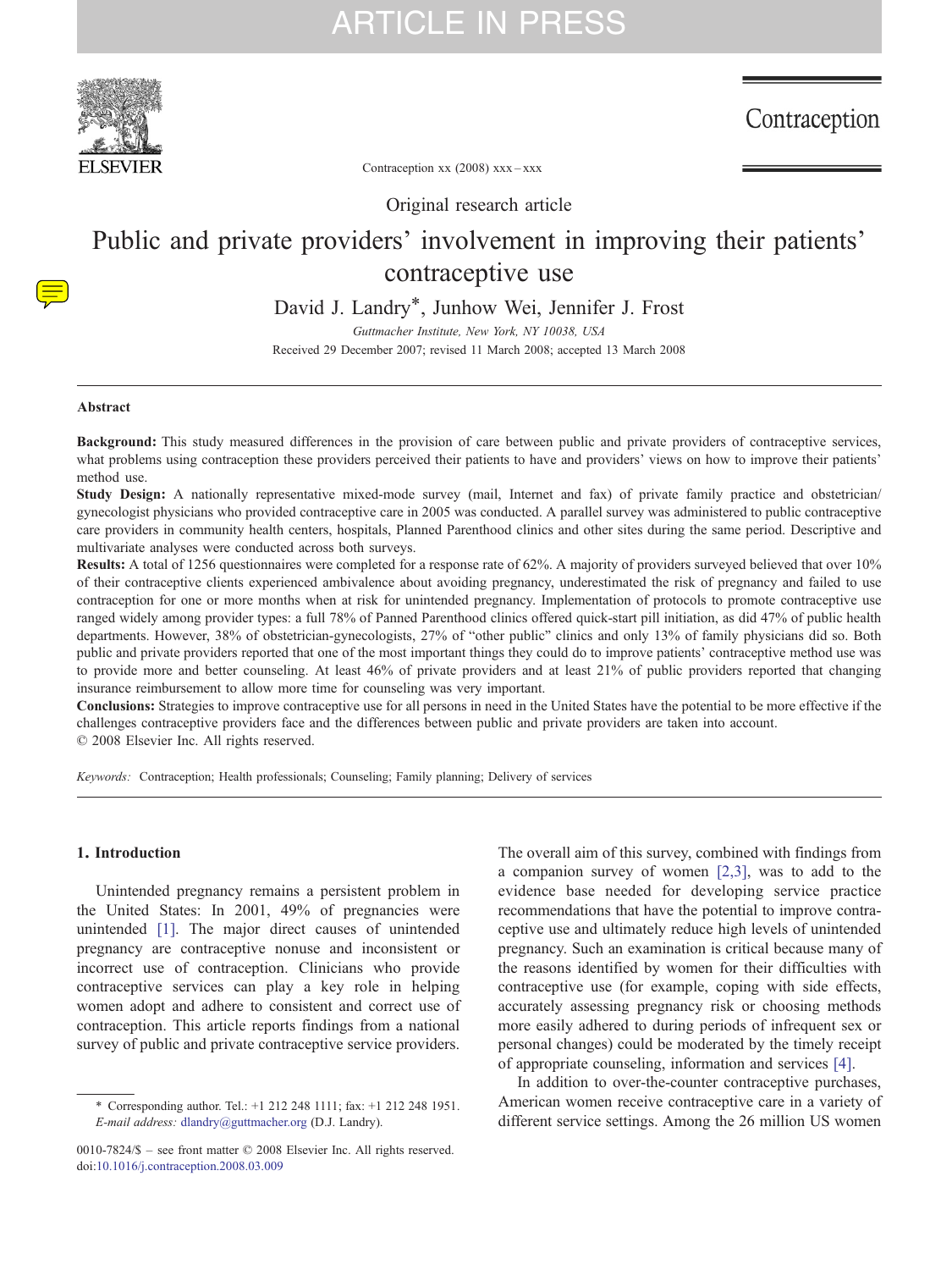

# Contraception

Contraception xx (2008) xxx–xxx

Original research article

# Public and private providers' involvement in improving their patients' contraceptive use

David J. Landry<sup>\*</sup>, Junhow Wei, Jennifer J. Frost

Guttmacher Institute, New York, NY 10038, USA Received 29 December 2007; revised 11 March 2008; accepted 13 March 2008

## Abstract

Background: This study measured differences in the provision of care between public and private providers of contraceptive services, what problems using contraception these providers perceived their patients to have and providers' views on how to improve their patients' method use.

Study Design: A nationally representative mixed-mode survey (mail, Internet and fax) of private family practice and obstetrician/ gynecologist physicians who provided contraceptive care in 2005 was conducted. A parallel survey was administered to public contraceptive care providers in community health centers, hospitals, Planned Parenthood clinics and other sites during the same period. Descriptive and multivariate analyses were conducted across both surveys.

Results: A total of 1256 questionnaires were completed for a response rate of 62%. A majority of providers surveyed believed that over 10% of their contraceptive clients experienced ambivalence about avoiding pregnancy, underestimated the risk of pregnancy and failed to use contraception for one or more months when at risk for unintended pregnancy. Implementation of protocols to promote contraceptive use ranged widely among provider types: a full 78% of Panned Parenthood clinics offered quick-start pill initiation, as did 47% of public health departments. However, 38% of obstetrician-gynecologists, 27% of "other public" clinics and only 13% of family physicians did so. Both public and private providers reported that one of the most important things they could do to improve patients' contraceptive method use was to provide more and better counseling. At least 46% of private providers and at least 21% of public providers reported that changing insurance reimbursement to allow more time for counseling was very important.

Conclusions: Strategies to improve contraceptive use for all persons in need in the United States have the potential to be more effective if the challenges contraceptive providers face and the differences between public and private providers are taken into account. © 2008 Elsevier Inc. All rights reserved.

Keywords: Contraception; Health professionals; Counseling; Family planning; Delivery of services

# 1. Introduction

Unintended pregnancy remains a persistent problem in the United States: In 2001, 49% of pregnancies were unintended [\[1\]](#page-8-0). The major direct causes of unintended pregnancy are contraceptive nonuse and inconsistent or incorrect use of contraception. Clinicians who provide contraceptive services can play a key role in helping women adopt and adhere to consistent and correct use of contraception. This article reports findings from a national survey of public and private contraceptive service providers.

The overall aim of this survey, combined with findings from a companion survey of women [\[2,3\]](#page-8-0), was to add to the evidence base needed for developing service practice recommendations that have the potential to improve contraceptive use and ultimately reduce high levels of unintended pregnancy. Such an examination is critical because many of the reasons identified by women for their difficulties with contraceptive use (for example, coping with side effects, accurately assessing pregnancy risk or choosing methods more easily adhered to during periods of infrequent sex or personal changes) could be moderated by the timely receipt of appropriate counseling, information and services [\[4\]](#page-8-0).

In addition to over-the-counter contraceptive purchases, American women receive contraceptive care in a variety of different service settings. Among the 26 million US women

<sup>⁎</sup> Corresponding author. Tel.: +1 212 248 1111; fax: +1 212 248 1951. E-mail address: [dlandry@guttmacher.org](mailto:dlandry@guttmacher.org) (D.J. Landry).

<sup>0010-7824/\$</sup> – see front matter © 2008 Elsevier Inc. All rights reserved. doi[:10.1016/j.contraception.2008.03.009](http://dx.doi.org/10.1016/j.contraception.2008.03.009)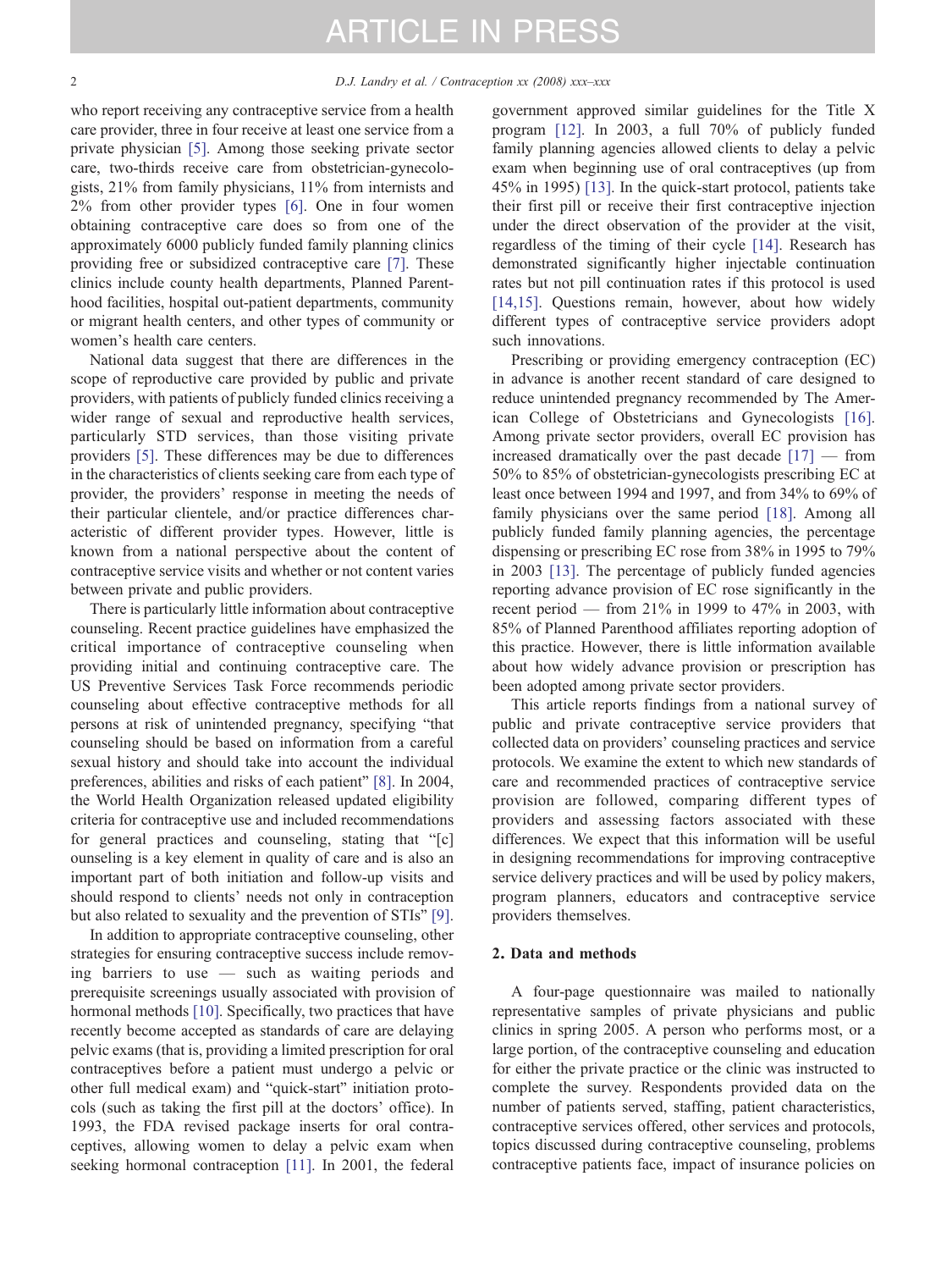who report receiving any contraceptive service from a health care provider, three in four receive at least one service from a private physician [\[5\].](#page-8-0) Among those seeking private sector care, two-thirds receive care from obstetrician-gynecologists, 21% from family physicians, 11% from internists and 2% from other provider types [\[6\]](#page-8-0). One in four women obtaining contraceptive care does so from one of the approximately 6000 publicly funded family planning clinics providing free or subsidized contraceptive care [\[7\]](#page-8-0). These clinics include county health departments, Planned Parenthood facilities, hospital out-patient departments, community or migrant health centers, and other types of community or women's health care centers.

National data suggest that there are differences in the scope of reproductive care provided by public and private providers, with patients of publicly funded clinics receiving a wider range of sexual and reproductive health services, particularly STD services, than those visiting private providers [\[5\]](#page-8-0). These differences may be due to differences in the characteristics of clients seeking care from each type of provider, the providers' response in meeting the needs of their particular clientele, and/or practice differences characteristic of different provider types. However, little is known from a national perspective about the content of contraceptive service visits and whether or not content varies between private and public providers.

There is particularly little information about contraceptive counseling. Recent practice guidelines have emphasized the critical importance of contraceptive counseling when providing initial and continuing contraceptive care. The US Preventive Services Task Force recommends periodic counseling about effective contraceptive methods for all persons at risk of unintended pregnancy, specifying "that counseling should be based on information from a careful sexual history and should take into account the individual preferences, abilities and risks of each patient" [\[8\]](#page-8-0). In 2004, the World Health Organization released updated eligibility criteria for contraceptive use and included recommendations for general practices and counseling, stating that "[c] ounseling is a key element in quality of care and is also an important part of both initiation and follow-up visits and should respond to clients' needs not only in contraception but also related to sexuality and the prevention of STIs" [\[9\].](#page-8-0)

In addition to appropriate contraceptive counseling, other strategies for ensuring contraceptive success include removing barriers to use — such as waiting periods and prerequisite screenings usually associated with provision of hormonal methods [\[10\].](#page-8-0) Specifically, two practices that have recently become accepted as standards of care are delaying pelvic exams (that is, providing a limited prescription for oral contraceptives before a patient must undergo a pelvic or other full medical exam) and "quick-start" initiation protocols (such as taking the first pill at the doctors' office). In 1993, the FDA revised package inserts for oral contraceptives, allowing women to delay a pelvic exam when seeking hormonal contraception [\[11\]](#page-8-0). In 2001, the federal

government approved similar guidelines for the Title X program [\[12\].](#page-8-0) In 2003, a full 70% of publicly funded family planning agencies allowed clients to delay a pelvic exam when beginning use of oral contraceptives (up from 45% in 1995) [\[13\]](#page-8-0). In the quick-start protocol, patients take their first pill or receive their first contraceptive injection under the direct observation of the provider at the visit, regardless of the timing of their cycle [\[14\].](#page-8-0) Research has demonstrated significantly higher injectable continuation rates but not pill continuation rates if this protocol is used [\[14,15\].](#page-8-0) Questions remain, however, about how widely different types of contraceptive service providers adopt such innovations.

Prescribing or providing emergency contraception (EC) in advance is another recent standard of care designed to reduce unintended pregnancy recommended by The American College of Obstetricians and Gynecologists [\[16\].](#page-8-0) Among private sector providers, overall EC provision has increased dramatically over the past decade  $[17]$  — from 50% to 85% of obstetrician-gynecologists prescribing EC at least once between 1994 and 1997, and from 34% to 69% of family physicians over the same period [\[18\].](#page-8-0) Among all publicly funded family planning agencies, the percentage dispensing or prescribing EC rose from 38% in 1995 to 79% in 2003 [\[13\]](#page-8-0). The percentage of publicly funded agencies reporting advance provision of EC rose significantly in the recent period — from 21% in 1999 to 47% in 2003, with 85% of Planned Parenthood affiliates reporting adoption of this practice. However, there is little information available about how widely advance provision or prescription has been adopted among private sector providers.

This article reports findings from a national survey of public and private contraceptive service providers that collected data on providers' counseling practices and service protocols. We examine the extent to which new standards of care and recommended practices of contraceptive service provision are followed, comparing different types of providers and assessing factors associated with these differences. We expect that this information will be useful in designing recommendations for improving contraceptive service delivery practices and will be used by policy makers, program planners, educators and contraceptive service providers themselves.

# 2. Data and methods

A four-page questionnaire was mailed to nationally representative samples of private physicians and public clinics in spring 2005. A person who performs most, or a large portion, of the contraceptive counseling and education for either the private practice or the clinic was instructed to complete the survey. Respondents provided data on the number of patients served, staffing, patient characteristics, contraceptive services offered, other services and protocols, topics discussed during contraceptive counseling, problems contraceptive patients face, impact of insurance policies on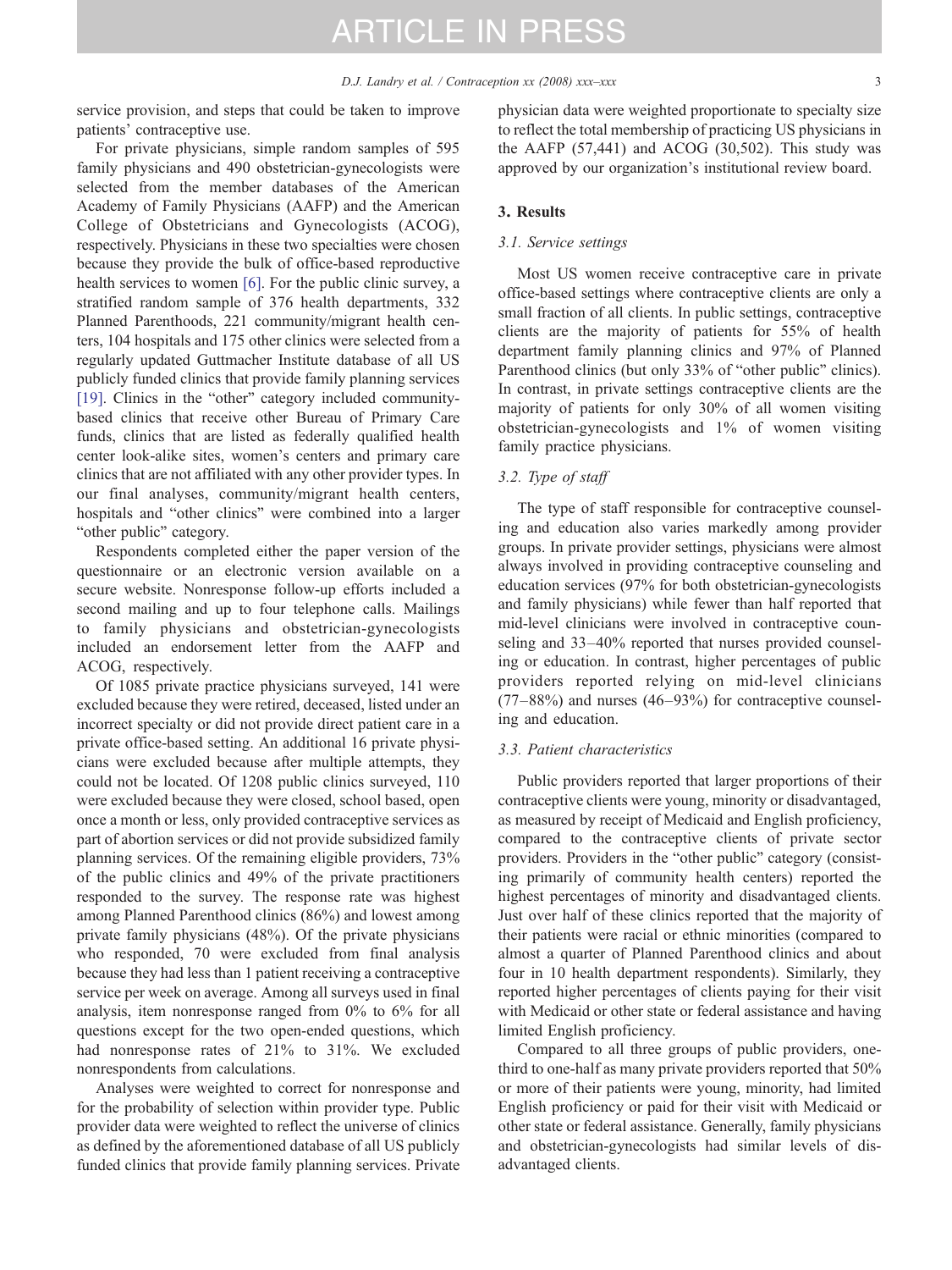service provision, and steps that could be taken to improve patients' contraceptive use.

For private physicians, simple random samples of 595 family physicians and 490 obstetrician-gynecologists were selected from the member databases of the American Academy of Family Physicians (AAFP) and the American College of Obstetricians and Gynecologists (ACOG), respectively. Physicians in these two specialties were chosen because they provide the bulk of office-based reproductive health services to women [\[6\].](#page-8-0) For the public clinic survey, a stratified random sample of 376 health departments, 332 Planned Parenthoods, 221 community/migrant health centers, 104 hospitals and 175 other clinics were selected from a regularly updated Guttmacher Institute database of all US publicly funded clinics that provide family planning services [\[19\]](#page-9-0). Clinics in the "other" category included communitybased clinics that receive other Bureau of Primary Care funds, clinics that are listed as federally qualified health center look-alike sites, women's centers and primary care clinics that are not affiliated with any other provider types. In our final analyses, community/migrant health centers, hospitals and "other clinics" were combined into a larger "other public" category.

Respondents completed either the paper version of the questionnaire or an electronic version available on a secure website. Nonresponse follow-up efforts included a second mailing and up to four telephone calls. Mailings to family physicians and obstetrician-gynecologists included an endorsement letter from the AAFP and ACOG, respectively.

Of 1085 private practice physicians surveyed, 141 were excluded because they were retired, deceased, listed under an incorrect specialty or did not provide direct patient care in a private office-based setting. An additional 16 private physicians were excluded because after multiple attempts, they could not be located. Of 1208 public clinics surveyed, 110 were excluded because they were closed, school based, open once a month or less, only provided contraceptive services as part of abortion services or did not provide subsidized family planning services. Of the remaining eligible providers, 73% of the public clinics and 49% of the private practitioners responded to the survey. The response rate was highest among Planned Parenthood clinics (86%) and lowest among private family physicians (48%). Of the private physicians who responded, 70 were excluded from final analysis because they had less than 1 patient receiving a contraceptive service per week on average. Among all surveys used in final analysis, item nonresponse ranged from 0% to 6% for all questions except for the two open-ended questions, which had nonresponse rates of 21% to 31%. We excluded nonrespondents from calculations.

Analyses were weighted to correct for nonresponse and for the probability of selection within provider type. Public provider data were weighted to reflect the universe of clinics as defined by the aforementioned database of all US publicly funded clinics that provide family planning services. Private physician data were weighted proportionate to specialty size to reflect the total membership of practicing US physicians in the AAFP (57,441) and ACOG (30,502). This study was approved by our organization's institutional review board.

# 3. Results

### 3.1. Service settings

Most US women receive contraceptive care in private office-based settings where contraceptive clients are only a small fraction of all clients. In public settings, contraceptive clients are the majority of patients for 55% of health department family planning clinics and 97% of Planned Parenthood clinics (but only 33% of "other public" clinics). In contrast, in private settings contraceptive clients are the majority of patients for only 30% of all women visiting obstetrician-gynecologists and 1% of women visiting family practice physicians.

# 3.2. Type of staff

The type of staff responsible for contraceptive counseling and education also varies markedly among provider groups. In private provider settings, physicians were almost always involved in providing contraceptive counseling and education services (97% for both obstetrician-gynecologists and family physicians) while fewer than half reported that mid-level clinicians were involved in contraceptive counseling and 33–40% reported that nurses provided counseling or education. In contrast, higher percentages of public providers reported relying on mid-level clinicians (77–88%) and nurses (46–93%) for contraceptive counseling and education.

# 3.3. Patient characteristics

Public providers reported that larger proportions of their contraceptive clients were young, minority or disadvantaged, as measured by receipt of Medicaid and English proficiency, compared to the contraceptive clients of private sector providers. Providers in the "other public" category (consisting primarily of community health centers) reported the highest percentages of minority and disadvantaged clients. Just over half of these clinics reported that the majority of their patients were racial or ethnic minorities (compared to almost a quarter of Planned Parenthood clinics and about four in 10 health department respondents). Similarly, they reported higher percentages of clients paying for their visit with Medicaid or other state or federal assistance and having limited English proficiency.

Compared to all three groups of public providers, onethird to one-half as many private providers reported that 50% or more of their patients were young, minority, had limited English proficiency or paid for their visit with Medicaid or other state or federal assistance. Generally, family physicians and obstetrician-gynecologists had similar levels of disadvantaged clients.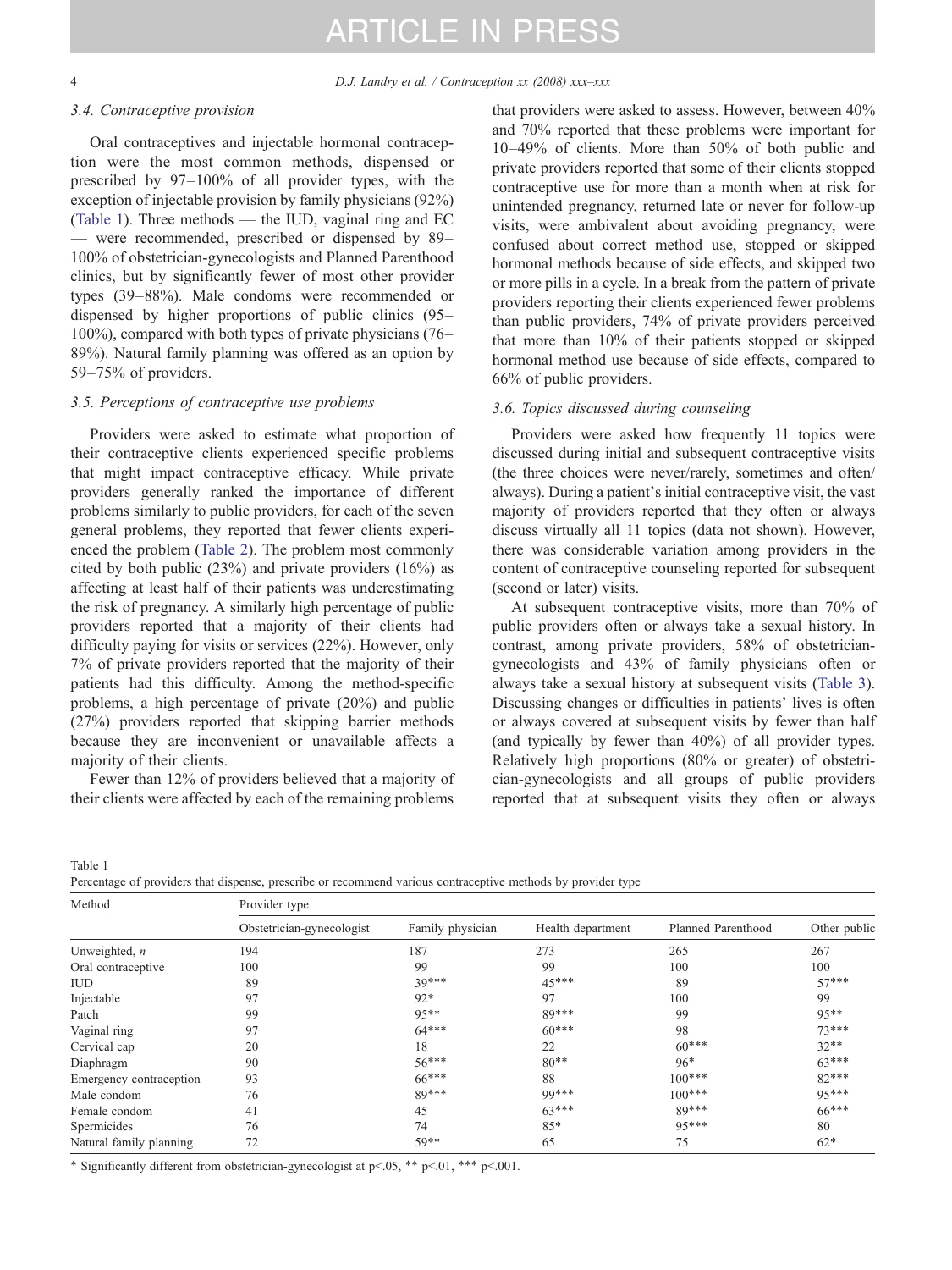### 3.4. Contraceptive provision

Oral contraceptives and injectable hormonal contraception were the most common methods, dispensed or prescribed by 97–100% of all provider types, with the exception of injectable provision by family physicians (92%) (Table 1). Three methods — the IUD, vaginal ring and EC — were recommended, prescribed or dispensed by 89– 100% of obstetrician-gynecologists and Planned Parenthood clinics, but by significantly fewer of most other provider types (39–88%). Male condoms were recommended or dispensed by higher proportions of public clinics (95– 100%), compared with both types of private physicians (76– 89%). Natural family planning was offered as an option by 59–75% of providers.

# 3.5. Perceptions of contraceptive use problems

Providers were asked to estimate what proportion of their contraceptive clients experienced specific problems that might impact contraceptive efficacy. While private providers generally ranked the importance of different problems similarly to public providers, for each of the seven general problems, they reported that fewer clients experienced the problem ([Table 2\)](#page-4-0). The problem most commonly cited by both public (23%) and private providers (16%) as affecting at least half of their patients was underestimating the risk of pregnancy. A similarly high percentage of public providers reported that a majority of their clients had difficulty paying for visits or services (22%). However, only 7% of private providers reported that the majority of their patients had this difficulty. Among the method-specific problems, a high percentage of private (20%) and public (27%) providers reported that skipping barrier methods because they are inconvenient or unavailable affects a majority of their clients.

Fewer than 12% of providers believed that a majority of their clients were affected by each of the remaining problems that providers were asked to assess. However, between 40% and 70% reported that these problems were important for 10–49% of clients. More than 50% of both public and private providers reported that some of their clients stopped contraceptive use for more than a month when at risk for unintended pregnancy, returned late or never for follow-up visits, were ambivalent about avoiding pregnancy, were confused about correct method use, stopped or skipped hormonal methods because of side effects, and skipped two or more pills in a cycle. In a break from the pattern of private providers reporting their clients experienced fewer problems than public providers, 74% of private providers perceived that more than 10% of their patients stopped or skipped hormonal method use because of side effects, compared to 66% of public providers.

### 3.6. Topics discussed during counseling

Providers were asked how frequently 11 topics were discussed during initial and subsequent contraceptive visits (the three choices were never/rarely, sometimes and often/ always). During a patient's initial contraceptive visit, the vast majority of providers reported that they often or always discuss virtually all 11 topics (data not shown). However, there was considerable variation among providers in the content of contraceptive counseling reported for subsequent (second or later) visits.

At subsequent contraceptive visits, more than 70% of public providers often or always take a sexual history. In contrast, among private providers, 58% of obstetriciangynecologists and 43% of family physicians often or always take a sexual history at subsequent visits [\(Table 3](#page-4-0)). Discussing changes or difficulties in patients' lives is often or always covered at subsequent visits by fewer than half (and typically by fewer than 40%) of all provider types. Relatively high proportions (80% or greater) of obstetrician-gynecologists and all groups of public providers reported that at subsequent visits they often or always

Table 1 Percentage of providers that dispense, prescribe or recommend various contraceptive methods by provider type

| Method                  | Provider type             |                  |                   |                    |              |  |  |  |
|-------------------------|---------------------------|------------------|-------------------|--------------------|--------------|--|--|--|
|                         | Obstetrician-gynecologist | Family physician | Health department | Planned Parenthood | Other public |  |  |  |
| Unweighted, $n$         | 194                       | 187              | 273               | 265                | 267          |  |  |  |
| Oral contraceptive      | 100                       | 99               | 99                | 100                | 100          |  |  |  |
| <b>IUD</b>              | 89                        | 39***            | $45***$           | 89                 | $57***$      |  |  |  |
| Injectable              | 97                        | $92*$            | 97                | 100                | 99           |  |  |  |
| Patch                   | 99                        | $95**$           | 89***             | 99                 | 95**         |  |  |  |
| Vaginal ring            | 97                        | $64***$          | $60***$           | 98                 | $73***$      |  |  |  |
| Cervical cap            | 20                        | 18               | 22                | $60***$            | $32**$       |  |  |  |
| Diaphragm               | 90                        | $56***$          | $80**$            | $96*$              | $63***$      |  |  |  |
| Emergency contraception | 93                        | 66***            | 88                | $100***$           | $82***$      |  |  |  |
| Male condom             | 76                        | 89***            | 99***             | $100***$           | 95***        |  |  |  |
| Female condom           | 41                        | 45               | $63***$           | 89***              | $66***$      |  |  |  |
| Spermicides             | 76                        | 74               | $85*$             | 95***              | 80           |  |  |  |
| Natural family planning | 72                        | $59**$           | 65                | 75                 | $62*$        |  |  |  |

\* Significantly different from obstetrician-gynecologist at  $p<.05$ , \*\*  $p<.01$ , \*\*\*  $p<.001$ .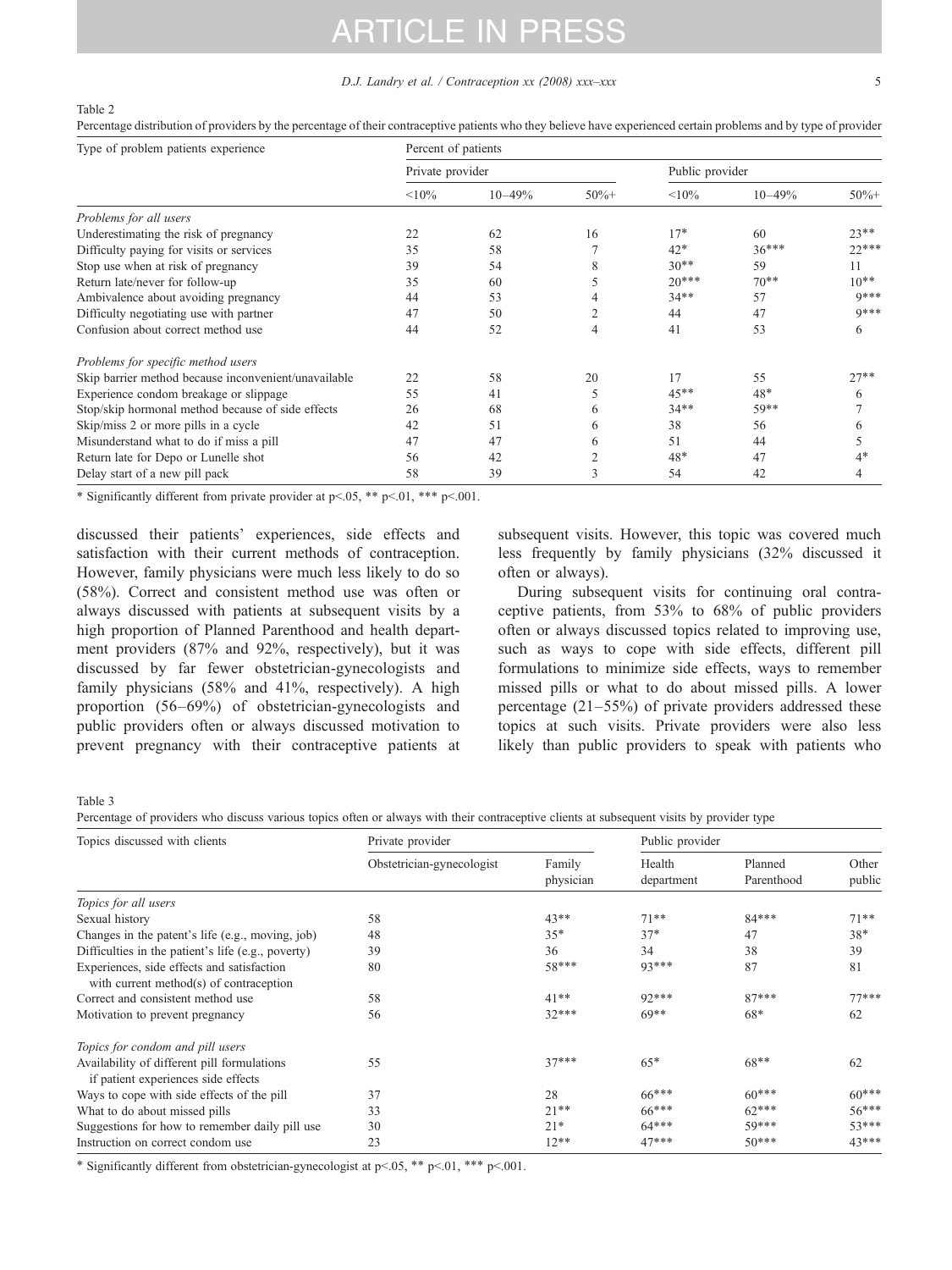### D.J. Landry et al. / Contraception xx (2008) xxx–xxx 5

### <span id="page-4-0"></span>Table 2

Percentage distribution of providers by the percentage of their contraceptive patients who they believe have experienced certain problems and by type of provider

| Type of problem patients experience                  | Percent of patients |            |                |                 |            |           |  |  |
|------------------------------------------------------|---------------------|------------|----------------|-----------------|------------|-----------|--|--|
|                                                      | Private provider    |            |                | Public provider |            |           |  |  |
|                                                      | <10%                | $10 - 49%$ | $50% +$        | <10%            | $10 - 49%$ | $50% +$   |  |  |
| Problems for all users                               |                     |            |                |                 |            |           |  |  |
| Underestimating the risk of pregnancy                | 22                  | 62         | 16             | $17*$           | 60         | $23**$    |  |  |
| Difficulty paying for visits or services             | 35                  | 58         |                | $42*$           | $36***$    | $22***$   |  |  |
| Stop use when at risk of pregnancy                   | 39                  | 54         | 8              | $30**$          | 59         | 11        |  |  |
| Return late/never for follow-up                      | 35                  | 60         | 5              | $20***$         | $70***$    | $10^{**}$ |  |  |
| Ambivalence about avoiding pregnancy                 | 44                  | 53         | 4              | $34**$          | 57         | $9***$    |  |  |
| Difficulty negotiating use with partner              | 47                  | 50         | 2              | 44              | 47         | $0***$    |  |  |
| Confusion about correct method use                   | 44                  | 52         | 4              | 41              | 53         | 6         |  |  |
| Problems for specific method users                   |                     |            |                |                 |            |           |  |  |
| Skip barrier method because inconvenient/unavailable | 22                  | 58         | 20             | 17              | 55         | $27**$    |  |  |
| Experience condom breakage or slippage               | 55                  | 41         | 5              | $45**$          | 48*        | 6         |  |  |
| Stop/skip hormonal method because of side effects    | 26                  | 68         | 6              | $34**$          | 59**       |           |  |  |
| Skip/miss 2 or more pills in a cycle                 | 42                  | 51         | 6              | 38              | 56         | 6         |  |  |
| Misunderstand what to do if miss a pill              | 47                  | 47         | 6              | 51              | 44         |           |  |  |
| Return late for Depo or Lunelle shot                 | 56                  | 42         | $\overline{2}$ | $48*$           | 47         | $4*$      |  |  |
| Delay start of a new pill pack                       | 58                  | 39         | 3              | 54              | 42         |           |  |  |

 $*$  Significantly different from private provider at p $\leq$ .05,  $*$  p $\leq$ .01,  $***$  p $\leq$ .001.

discussed their patients' experiences, side effects and satisfaction with their current methods of contraception. However, family physicians were much less likely to do so (58%). Correct and consistent method use was often or always discussed with patients at subsequent visits by a high proportion of Planned Parenthood and health department providers (87% and 92%, respectively), but it was discussed by far fewer obstetrician-gynecologists and family physicians (58% and 41%, respectively). A high proportion (56–69%) of obstetrician-gynecologists and public providers often or always discussed motivation to prevent pregnancy with their contraceptive patients at subsequent visits. However, this topic was covered much less frequently by family physicians (32% discussed it often or always).

During subsequent visits for continuing oral contraceptive patients, from 53% to 68% of public providers often or always discussed topics related to improving use, such as ways to cope with side effects, different pill formulations to minimize side effects, ways to remember missed pills or what to do about missed pills. A lower percentage (21–55%) of private providers addressed these topics at such visits. Private providers were also less likely than public providers to speak with patients who

Table 3

Percentage of providers who discuss various topics often or always with their contraceptive clients at subsequent visits by provider type

| Topics discussed with clients                                                         | Private provider          | Public provider     |                      |                       |                 |
|---------------------------------------------------------------------------------------|---------------------------|---------------------|----------------------|-----------------------|-----------------|
|                                                                                       | Obstetrician-gynecologist | Family<br>physician | Health<br>department | Planned<br>Parenthood | Other<br>public |
| Topics for all users                                                                  |                           |                     |                      |                       |                 |
| Sexual history                                                                        | 58                        | $43**$              | $71***$              | $84***$               | $71**$          |
| Changes in the patent's life (e.g., moving, job)                                      | 48                        | $35*$               | $37*$                | 47                    | $38*$           |
| Difficulties in the patient's life (e.g., poverty)                                    | 39                        | 36                  | 34                   | 38                    | 39              |
| Experiences, side effects and satisfaction<br>with current method(s) of contraception | 80                        | 58***               | 93***                | 87                    | 81              |
| Correct and consistent method use                                                     | 58                        | $41***$             | $92***$              | $87***$               | $77***$         |
| Motivation to prevent pregnancy                                                       | 56                        | $32***$             | $69**$               | 68*                   | 62              |
| Topics for condom and pill users                                                      |                           |                     |                      |                       |                 |
| Availability of different pill formulations<br>if patient experiences side effects    | 55                        | $37***$             | $65*$                | $68**$                | 62              |
| Ways to cope with side effects of the pill                                            | 37                        | 28                  | $66***$              | $60***$               | $60***$         |
| What to do about missed pills                                                         | 33                        | $21***$             | $66***$              | $62***$               | $56***$         |
| Suggestions for how to remember daily pill use                                        | 30                        | $21*$               | $64***$              | 59***                 | 53***           |
| Instruction on correct condom use                                                     | 23                        | $12***$             | $47***$              | $50***$               | $43***$         |

\* Significantly different from obstetrician-gynecologist at  $p<.05$ , \*\*  $p<.01$ , \*\*\*  $p<.001$ .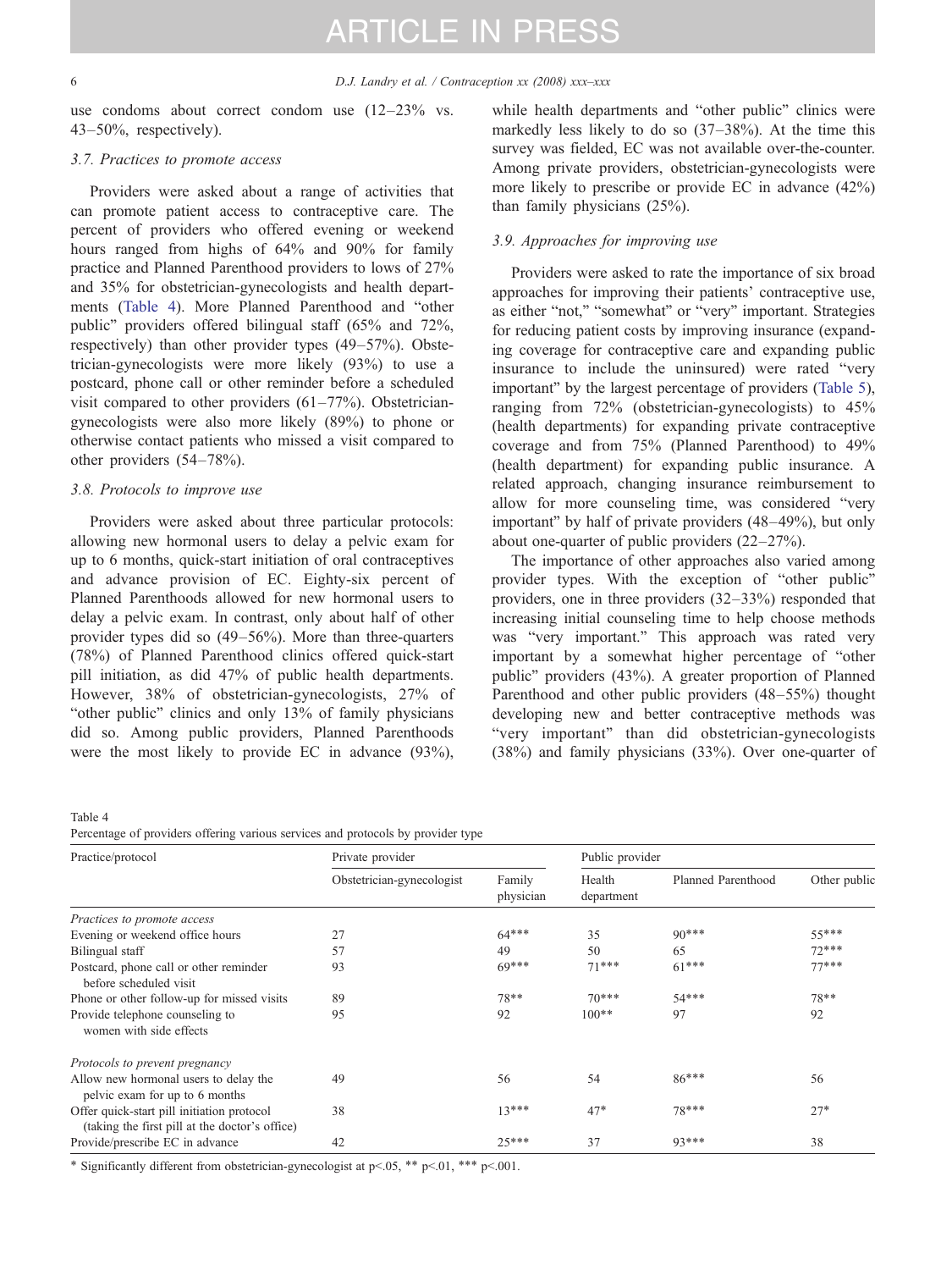## 6 D.J. Landry et al. / Contraception xx (2008) xxx–xxx

use condoms about correct condom use (12–23% vs. 43–50%, respectively).

# 3.7. Practices to promote access

Providers were asked about a range of activities that can promote patient access to contraceptive care. The percent of providers who offered evening or weekend hours ranged from highs of 64% and 90% for family practice and Planned Parenthood providers to lows of 27% and 35% for obstetrician-gynecologists and health departments (Table 4). More Planned Parenthood and "other public" providers offered bilingual staff (65% and 72%, respectively) than other provider types (49–57%). Obstetrician-gynecologists were more likely (93%) to use a postcard, phone call or other reminder before a scheduled visit compared to other providers (61–77%). Obstetriciangynecologists were also more likely (89%) to phone or otherwise contact patients who missed a visit compared to other providers (54–78%).

# 3.8. Protocols to improve use

Providers were asked about three particular protocols: allowing new hormonal users to delay a pelvic exam for up to 6 months, quick-start initiation of oral contraceptives and advance provision of EC. Eighty-six percent of Planned Parenthoods allowed for new hormonal users to delay a pelvic exam. In contrast, only about half of other provider types did so (49–56%). More than three-quarters (78%) of Planned Parenthood clinics offered quick-start pill initiation, as did 47% of public health departments. However, 38% of obstetrician-gynecologists, 27% of "other public" clinics and only 13% of family physicians did so. Among public providers, Planned Parenthoods were the most likely to provide EC in advance (93%), while health departments and "other public" clinics were markedly less likely to do so (37–38%). At the time this survey was fielded, EC was not available over-the-counter. Among private providers, obstetrician-gynecologists were more likely to prescribe or provide EC in advance (42%) than family physicians (25%).

# 3.9. Approaches for improving use

Providers were asked to rate the importance of six broad approaches for improving their patients' contraceptive use, as either "not," "somewhat" or "very" important. Strategies for reducing patient costs by improving insurance (expanding coverage for contraceptive care and expanding public insurance to include the uninsured) were rated "very important" by the largest percentage of providers ([Table 5](#page-6-0)), ranging from 72% (obstetrician-gynecologists) to 45% (health departments) for expanding private contraceptive coverage and from 75% (Planned Parenthood) to 49% (health department) for expanding public insurance. A related approach, changing insurance reimbursement to allow for more counseling time, was considered "very important" by half of private providers (48–49%), but only about one-quarter of public providers (22–27%).

The importance of other approaches also varied among provider types. With the exception of "other public" providers, one in three providers (32–33%) responded that increasing initial counseling time to help choose methods was "very important." This approach was rated very important by a somewhat higher percentage of "other public" providers (43%). A greater proportion of Planned Parenthood and other public providers (48–55%) thought developing new and better contraceptive methods was "very important" than did obstetrician-gynecologists (38%) and family physicians (33%). Over one-quarter of

Table 4

```
Percentage of providers offering various services and protocols by provider type
```

| Practice/protocol                                                                            | Private provider          |                     | Public provider      |                    |              |  |
|----------------------------------------------------------------------------------------------|---------------------------|---------------------|----------------------|--------------------|--------------|--|
|                                                                                              | Obstetrician-gynecologist | Family<br>physician | Health<br>department | Planned Parenthood | Other public |  |
| Practices to promote access                                                                  |                           |                     |                      |                    |              |  |
| Evening or weekend office hours                                                              | 27                        | $64***$             | 35                   | $90***$            | $55***$      |  |
| Bilingual staff                                                                              | 57                        | 49                  | 50                   | 65                 | $72***$      |  |
| Postcard, phone call or other reminder<br>before scheduled visit                             | 93                        | $69***$             | $71***$              | $61***$            | $77***$      |  |
| Phone or other follow-up for missed visits                                                   | 89                        | $78**$              | $70***$              | 54***              | 78**         |  |
| Provide telephone counseling to<br>women with side effects                                   | 95                        | 92                  | $100**$              | 97                 | 92           |  |
| Protocols to prevent pregnancy                                                               |                           |                     |                      |                    |              |  |
| Allow new hormonal users to delay the<br>pelvic exam for up to 6 months                      | 49                        | 56                  | 54                   | $86***$            | 56           |  |
| Offer quick-start pill initiation protocol<br>(taking the first pill at the doctor's office) | 38                        | $13***$             | $47*$                | 78***              | $27*$        |  |
| Provide/prescribe EC in advance                                                              | 42                        | $25***$             | 37                   | 93***              | 38           |  |

\* Significantly different from obstetrician-gynecologist at  $p<.05$ , \*\*  $p<.01$ , \*\*\*  $p<.001$ .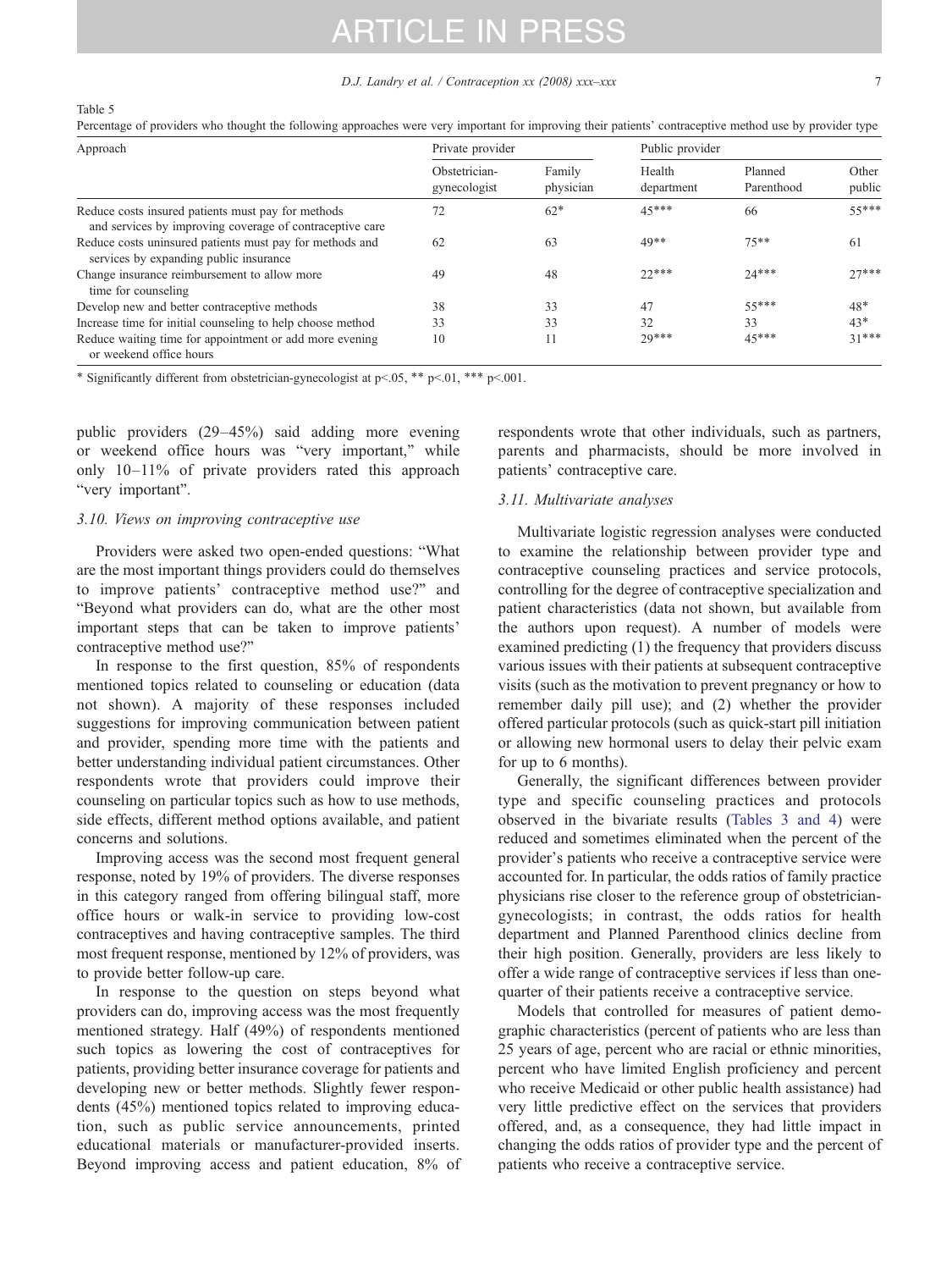## D.J. Landry et al. / Contraception xx (2008) xxx–xxx 7

<span id="page-6-0"></span>Table 5

Percentage of providers who thought the following approaches were very important for improving their patients' contraceptive method use by provider type

| Approach                                                                                                       | Private provider              |                     | Public provider      |                       |                 |
|----------------------------------------------------------------------------------------------------------------|-------------------------------|---------------------|----------------------|-----------------------|-----------------|
|                                                                                                                | Obstetrician-<br>gynecologist | Family<br>physician | Health<br>department | Planned<br>Parenthood | Other<br>public |
| Reduce costs insured patients must pay for methods<br>and services by improving coverage of contraceptive care | 72                            | $62*$               | $45***$              | 66                    | $55***$         |
| Reduce costs uninsured patients must pay for methods and<br>services by expanding public insurance             | 62                            | 63                  | $49**$               | $75**$                | 61              |
| Change insurance reimbursement to allow more<br>time for counseling                                            | 49                            | 48                  | $22***$              | $24***$               | $77***$         |
| Develop new and better contraceptive methods                                                                   | 38                            | 33                  | 47                   | $55***$               | $48*$           |
| Increase time for initial counseling to help choose method                                                     | 33                            | 33                  | 32                   | 33                    | $43*$           |
| Reduce waiting time for appointment or add more evening<br>or weekend office hours                             | 10                            | 11                  | $70***$              | $45***$               | $31***$         |

\* Significantly different from obstetrician-gynecologist at  $p<.05$ , \*\*  $p<.01$ , \*\*\*  $p<.001$ .

public providers (29–45%) said adding more evening or weekend office hours was "very important," while only 10–11% of private providers rated this approach "very important".

## 3.10. Views on improving contraceptive use

Providers were asked two open-ended questions: "What are the most important things providers could do themselves to improve patients' contraceptive method use?" and "Beyond what providers can do, what are the other most important steps that can be taken to improve patients' contraceptive method use?"

In response to the first question, 85% of respondents mentioned topics related to counseling or education (data not shown). A majority of these responses included suggestions for improving communication between patient and provider, spending more time with the patients and better understanding individual patient circumstances. Other respondents wrote that providers could improve their counseling on particular topics such as how to use methods, side effects, different method options available, and patient concerns and solutions.

Improving access was the second most frequent general response, noted by 19% of providers. The diverse responses in this category ranged from offering bilingual staff, more office hours or walk-in service to providing low-cost contraceptives and having contraceptive samples. The third most frequent response, mentioned by 12% of providers, was to provide better follow-up care.

In response to the question on steps beyond what providers can do, improving access was the most frequently mentioned strategy. Half (49%) of respondents mentioned such topics as lowering the cost of contraceptives for patients, providing better insurance coverage for patients and developing new or better methods. Slightly fewer respondents (45%) mentioned topics related to improving education, such as public service announcements, printed educational materials or manufacturer-provided inserts. Beyond improving access and patient education, 8% of respondents wrote that other individuals, such as partners, parents and pharmacists, should be more involved in patients' contraceptive care.

# 3.11. Multivariate analyses

Multivariate logistic regression analyses were conducted to examine the relationship between provider type and contraceptive counseling practices and service protocols, controlling for the degree of contraceptive specialization and patient characteristics (data not shown, but available from the authors upon request). A number of models were examined predicting (1) the frequency that providers discuss various issues with their patients at subsequent contraceptive visits (such as the motivation to prevent pregnancy or how to remember daily pill use); and (2) whether the provider offered particular protocols (such as quick-start pill initiation or allowing new hormonal users to delay their pelvic exam for up to 6 months).

Generally, the significant differences between provider type and specific counseling practices and protocols observed in the bivariate results [\(Tables 3 and 4](#page-4-0)) were reduced and sometimes eliminated when the percent of the provider's patients who receive a contraceptive service were accounted for. In particular, the odds ratios of family practice physicians rise closer to the reference group of obstetriciangynecologists; in contrast, the odds ratios for health department and Planned Parenthood clinics decline from their high position. Generally, providers are less likely to offer a wide range of contraceptive services if less than onequarter of their patients receive a contraceptive service.

Models that controlled for measures of patient demographic characteristics (percent of patients who are less than 25 years of age, percent who are racial or ethnic minorities, percent who have limited English proficiency and percent who receive Medicaid or other public health assistance) had very little predictive effect on the services that providers offered, and, as a consequence, they had little impact in changing the odds ratios of provider type and the percent of patients who receive a contraceptive service.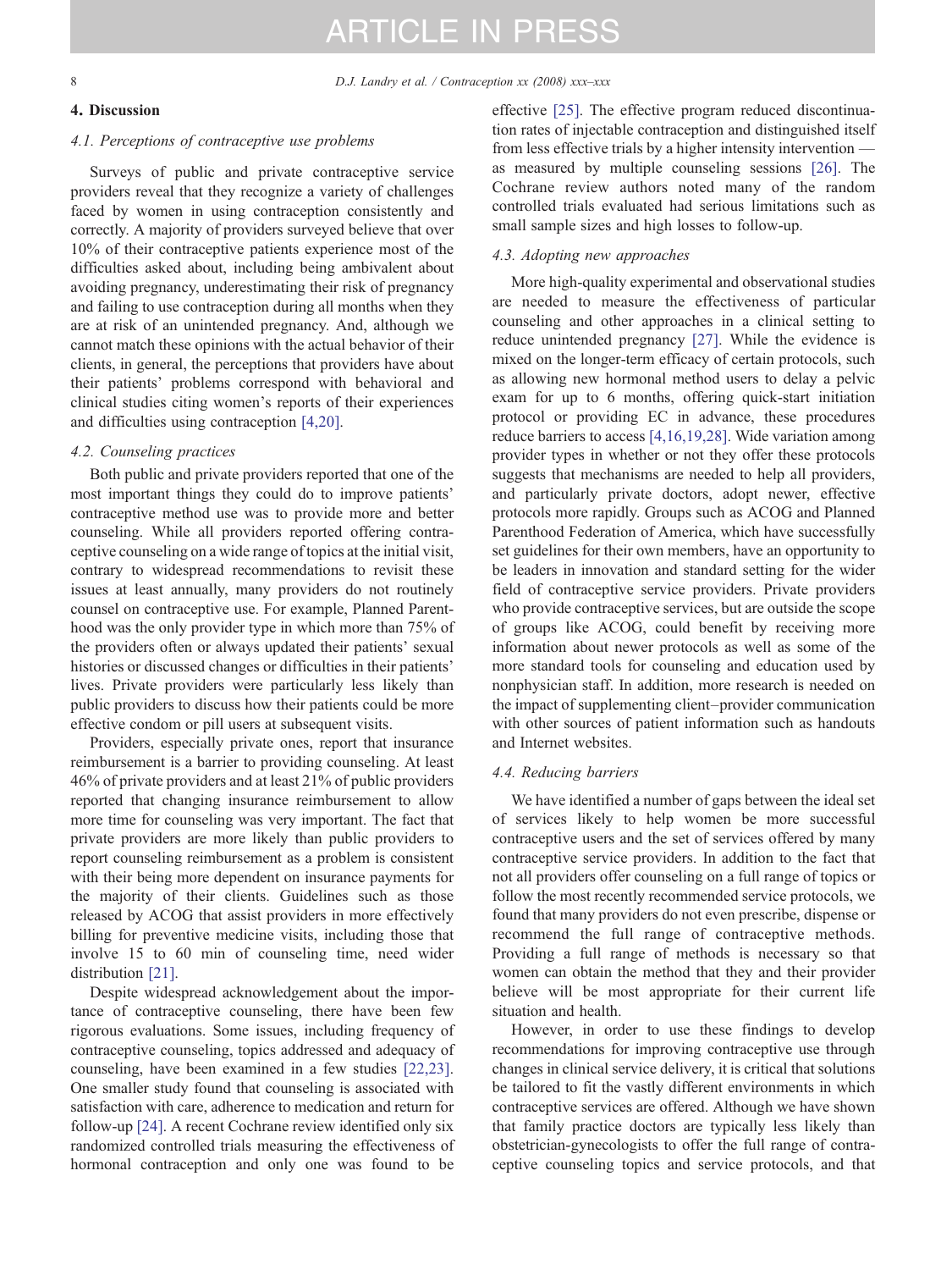# 4. Discussion

### 4.1. Perceptions of contraceptive use problems

Surveys of public and private contraceptive service providers reveal that they recognize a variety of challenges faced by women in using contraception consistently and correctly. A majority of providers surveyed believe that over 10% of their contraceptive patients experience most of the difficulties asked about, including being ambivalent about avoiding pregnancy, underestimating their risk of pregnancy and failing to use contraception during all months when they are at risk of an unintended pregnancy. And, although we cannot match these opinions with the actual behavior of their clients, in general, the perceptions that providers have about their patients' problems correspond with behavioral and clinical studies citing women's reports of their experiences and difficulties using contraception [\[4,20\].](#page-8-0)

### 4.2. Counseling practices

Both public and private providers reported that one of the most important things they could do to improve patients' contraceptive method use was to provide more and better counseling. While all providers reported offering contraceptive counseling on a wide range of topics at the initial visit, contrary to widespread recommendations to revisit these issues at least annually, many providers do not routinely counsel on contraceptive use. For example, Planned Parenthood was the only provider type in which more than 75% of the providers often or always updated their patients' sexual histories or discussed changes or difficulties in their patients' lives. Private providers were particularly less likely than public providers to discuss how their patients could be more effective condom or pill users at subsequent visits.

Providers, especially private ones, report that insurance reimbursement is a barrier to providing counseling. At least 46% of private providers and at least 21% of public providers reported that changing insurance reimbursement to allow more time for counseling was very important. The fact that private providers are more likely than public providers to report counseling reimbursement as a problem is consistent with their being more dependent on insurance payments for the majority of their clients. Guidelines such as those released by ACOG that assist providers in more effectively billing for preventive medicine visits, including those that involve 15 to 60 min of counseling time, need wider distribution [\[21\]](#page-9-0).

Despite widespread acknowledgement about the importance of contraceptive counseling, there have been few rigorous evaluations. Some issues, including frequency of contraceptive counseling, topics addressed and adequacy of counseling, have been examined in a few studies [\[22,23\].](#page-9-0) One smaller study found that counseling is associated with satisfaction with care, adherence to medication and return for follow-up [\[24\].](#page-9-0) A recent Cochrane review identified only six randomized controlled trials measuring the effectiveness of hormonal contraception and only one was found to be

effective [\[25\]](#page-9-0). The effective program reduced discontinuation rates of injectable contraception and distinguished itself from less effective trials by a higher intensity intervention as measured by multiple counseling sessions [\[26\]](#page-9-0). The Cochrane review authors noted many of the random controlled trials evaluated had serious limitations such as small sample sizes and high losses to follow-up.

# 4.3. Adopting new approaches

More high-quality experimental and observational studies are needed to measure the effectiveness of particular counseling and other approaches in a clinical setting to reduce unintended pregnancy [\[27\]](#page-9-0). While the evidence is mixed on the longer-term efficacy of certain protocols, such as allowing new hormonal method users to delay a pelvic exam for up to 6 months, offering quick-start initiation protocol or providing EC in advance, these procedures reduce barriers to access [\[4,16,19,28\].](#page-8-0) Wide variation among provider types in whether or not they offer these protocols suggests that mechanisms are needed to help all providers, and particularly private doctors, adopt newer, effective protocols more rapidly. Groups such as ACOG and Planned Parenthood Federation of America, which have successfully set guidelines for their own members, have an opportunity to be leaders in innovation and standard setting for the wider field of contraceptive service providers. Private providers who provide contraceptive services, but are outside the scope of groups like ACOG, could benefit by receiving more information about newer protocols as well as some of the more standard tools for counseling and education used by nonphysician staff. In addition, more research is needed on the impact of supplementing client–provider communication with other sources of patient information such as handouts and Internet websites.

# 4.4. Reducing barriers

We have identified a number of gaps between the ideal set of services likely to help women be more successful contraceptive users and the set of services offered by many contraceptive service providers. In addition to the fact that not all providers offer counseling on a full range of topics or follow the most recently recommended service protocols, we found that many providers do not even prescribe, dispense or recommend the full range of contraceptive methods. Providing a full range of methods is necessary so that women can obtain the method that they and their provider believe will be most appropriate for their current life situation and health.

However, in order to use these findings to develop recommendations for improving contraceptive use through changes in clinical service delivery, it is critical that solutions be tailored to fit the vastly different environments in which contraceptive services are offered. Although we have shown that family practice doctors are typically less likely than obstetrician-gynecologists to offer the full range of contraceptive counseling topics and service protocols, and that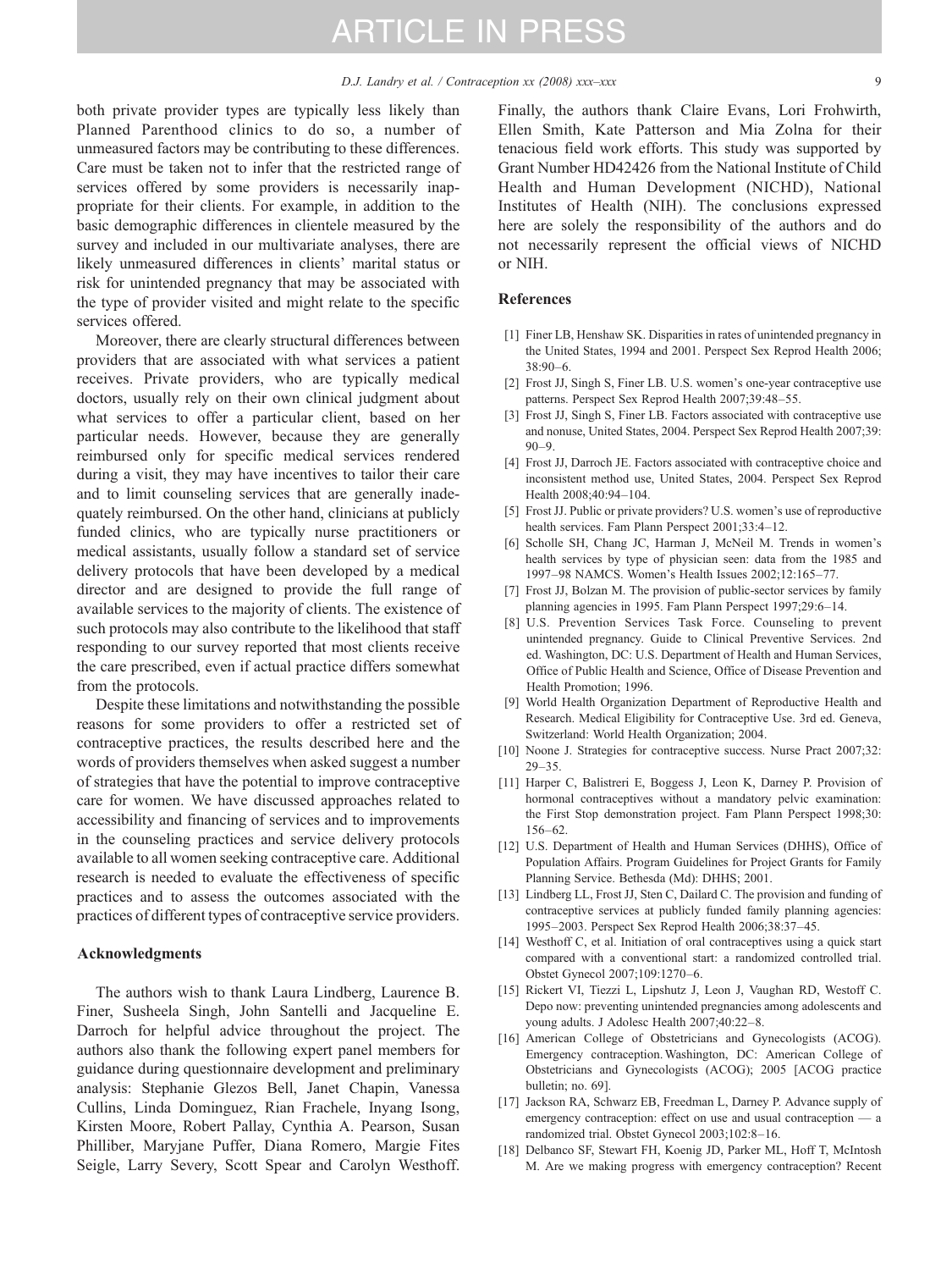<span id="page-8-0"></span>both private provider types are typically less likely than Planned Parenthood clinics to do so, a number of unmeasured factors may be contributing to these differences. Care must be taken not to infer that the restricted range of services offered by some providers is necessarily inappropriate for their clients. For example, in addition to the basic demographic differences in clientele measured by the survey and included in our multivariate analyses, there are likely unmeasured differences in clients' marital status or risk for unintended pregnancy that may be associated with the type of provider visited and might relate to the specific services offered.

Moreover, there are clearly structural differences between providers that are associated with what services a patient receives. Private providers, who are typically medical doctors, usually rely on their own clinical judgment about what services to offer a particular client, based on her particular needs. However, because they are generally reimbursed only for specific medical services rendered during a visit, they may have incentives to tailor their care and to limit counseling services that are generally inadequately reimbursed. On the other hand, clinicians at publicly funded clinics, who are typically nurse practitioners or medical assistants, usually follow a standard set of service delivery protocols that have been developed by a medical director and are designed to provide the full range of available services to the majority of clients. The existence of such protocols may also contribute to the likelihood that staff responding to our survey reported that most clients receive the care prescribed, even if actual practice differs somewhat from the protocols.

Despite these limitations and notwithstanding the possible reasons for some providers to offer a restricted set of contraceptive practices, the results described here and the words of providers themselves when asked suggest a number of strategies that have the potential to improve contraceptive care for women. We have discussed approaches related to accessibility and financing of services and to improvements in the counseling practices and service delivery protocols available to all women seeking contraceptive care. Additional research is needed to evaluate the effectiveness of specific practices and to assess the outcomes associated with the practices of different types of contraceptive service providers.

### Acknowledgments

The authors wish to thank Laura Lindberg, Laurence B. Finer, Susheela Singh, John Santelli and Jacqueline E. Darroch for helpful advice throughout the project. The authors also thank the following expert panel members for guidance during questionnaire development and preliminary analysis: Stephanie Glezos Bell, Janet Chapin, Vanessa Cullins, Linda Dominguez, Rian Frachele, Inyang Isong, Kirsten Moore, Robert Pallay, Cynthia A. Pearson, Susan Philliber, Maryjane Puffer, Diana Romero, Margie Fites Seigle, Larry Severy, Scott Spear and Carolyn Westhoff. Finally, the authors thank Claire Evans, Lori Frohwirth, Ellen Smith, Kate Patterson and Mia Zolna for their tenacious field work efforts. This study was supported by Grant Number HD42426 from the National Institute of Child Health and Human Development (NICHD), National Institutes of Health (NIH). The conclusions expressed here are solely the responsibility of the authors and do not necessarily represent the official views of NICHD or NIH.

### References

- [1] Finer LB, Henshaw SK. Disparities in rates of unintended pregnancy in the United States, 1994 and 2001. Perspect Sex Reprod Health 2006; 38:90–6.
- [2] Frost JJ, Singh S, Finer LB. U.S. women's one-year contraceptive use patterns. Perspect Sex Reprod Health 2007;39:48–55.
- [3] Frost JJ, Singh S, Finer LB. Factors associated with contraceptive use and nonuse, United States, 2004. Perspect Sex Reprod Health 2007;39:  $90-9$
- [4] Frost JJ, Darroch JE. Factors associated with contraceptive choice and inconsistent method use, United States, 2004. Perspect Sex Reprod Health 2008;40:94–104.
- [5] Frost JJ. Public or private providers? U.S. women's use of reproductive health services. Fam Plann Perspect 2001;33:4–12.
- [6] Scholle SH, Chang JC, Harman J, McNeil M. Trends in women's health services by type of physician seen: data from the 1985 and 1997–98 NAMCS. Women's Health Issues 2002;12:165–77.
- [7] Frost JJ, Bolzan M. The provision of public-sector services by family planning agencies in 1995. Fam Plann Perspect 1997;29:6–14.
- [8] U.S. Prevention Services Task Force. Counseling to prevent unintended pregnancy. Guide to Clinical Preventive Services. 2nd ed. Washington, DC: U.S. Department of Health and Human Services, Office of Public Health and Science, Office of Disease Prevention and Health Promotion; 1996.
- [9] World Health Organization Department of Reproductive Health and Research. Medical Eligibility for Contraceptive Use. 3rd ed. Geneva, Switzerland: World Health Organization; 2004.
- [10] Noone J. Strategies for contraceptive success. Nurse Pract 2007;32: 29–35.
- [11] Harper C, Balistreri E, Boggess J, Leon K, Darney P. Provision of hormonal contraceptives without a mandatory pelvic examination: the First Stop demonstration project. Fam Plann Perspect 1998;30: 156–62.
- [12] U.S. Department of Health and Human Services (DHHS), Office of Population Affairs. Program Guidelines for Project Grants for Family Planning Service. Bethesda (Md): DHHS; 2001.
- [13] Lindberg LL, Frost JJ, Sten C, Dailard C. The provision and funding of contraceptive services at publicly funded family planning agencies: 1995–2003. Perspect Sex Reprod Health 2006;38:37–45.
- [14] Westhoff C, et al. Initiation of oral contraceptives using a quick start compared with a conventional start: a randomized controlled trial. Obstet Gynecol 2007;109:1270–6.
- [15] Rickert VI, Tiezzi L, Lipshutz J, Leon J, Vaughan RD, Westoff C. Depo now: preventing unintended pregnancies among adolescents and young adults. J Adolesc Health 2007;40:22–8.
- [16] American College of Obstetricians and Gynecologists (ACOG). Emergency contraception.Washington, DC: American College of Obstetricians and Gynecologists (ACOG); 2005 [ACOG practice bulletin; no. 69].
- [17] Jackson RA, Schwarz EB, Freedman L, Darney P. Advance supply of emergency contraception: effect on use and usual contraception — a randomized trial. Obstet Gynecol 2003;102:8–16.
- [18] Delbanco SF, Stewart FH, Koenig JD, Parker ML, Hoff T, McIntosh M. Are we making progress with emergency contraception? Recent